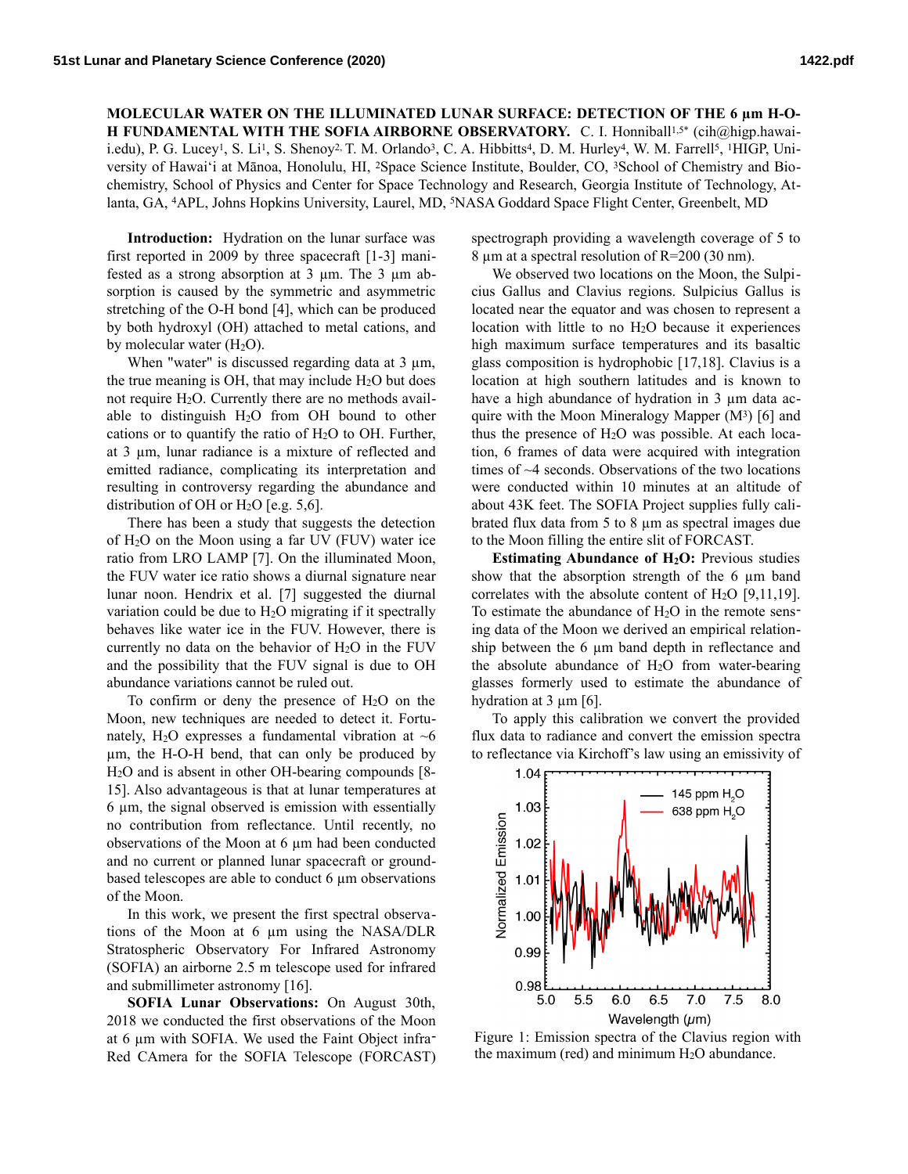**MOLECULAR WATER ON THE ILLUMINATED LUNAR SURFACE: DETECTION OF THE 6 µm H-O-H FUNDAMENTAL WITH THE SOFIA AIRBORNE OBSERVATORY.** C. I. Honniball<sup>1,5\*</sup> (cih@higp.hawaii.edu), P. G. Lucey<sup>1</sup>, S. Li<sup>1</sup>, S. Shenoy<sup>2,</sup> T. M. Orlando<sup>3</sup>, C. A. Hibbitts<sup>4</sup>, D. M. Hurley<sup>4</sup>, W. M. Farrell<sup>5</sup>, <sup>1</sup>HIGP, University of Hawaiʻi at Mānoa, Honolulu, HI, 2Space Science Institute, Boulder, CO, 3School of Chemistry and Biochemistry, School of Physics and Center for Space Technology and Research, Georgia Institute of Technology, Atlanta, GA, 4APL, Johns Hopkins University, Laurel, MD, 5NASA Goddard Space Flight Center, Greenbelt, MD

**Introduction:** Hydration on the lunar surface was first reported in 2009 by three spacecraft [1-3] manifested as a strong absorption at 3 µm. The 3 µm absorption is caused by the symmetric and asymmetric stretching of the O-H bond [4], which can be produced by both hydroxyl (OH) attached to metal cations, and by molecular water  $(H_2O)$ .

When "water" is discussed regarding data at  $3 \mu m$ , the true meaning is OH, that may include  $H<sub>2</sub>O$  but does not require H<sub>2</sub>O. Currently there are no methods available to distinguish H2O from OH bound to other cations or to quantify the ratio of  $H_2O$  to OH. Further, at 3 µm, lunar radiance is a mixture of reflected and emitted radiance, complicating its interpretation and resulting in controversy regarding the abundance and distribution of OH or  $H<sub>2</sub>O$  [e.g. 5,6].

There has been a study that suggests the detection of H2O on the Moon using a far UV (FUV) water ice ratio from LRO LAMP [7]. On the illuminated Moon, the FUV water ice ratio shows a diurnal signature near lunar noon. Hendrix et al. [7] suggested the diurnal variation could be due to H2O migrating if it spectrally behaves like water ice in the FUV. However, there is currently no data on the behavior of  $H<sub>2</sub>O$  in the FUV and the possibility that the FUV signal is due to OH abundance variations cannot be ruled out.

To confirm or deny the presence of  $H_2O$  on the Moon, new techniques are needed to detect it. Fortunately, H<sub>2</sub>O expresses a fundamental vibration at  $~6$ µm, the H-O-H bend, that can only be produced by H2O and is absent in other OH-bearing compounds [8- 15]. Also advantageous is that at lunar temperatures at 6 µm, the signal observed is emission with essentially no contribution from reflectance. Until recently, no observations of the Moon at 6 µm had been conducted and no current or planned lunar spacecraft or groundbased telescopes are able to conduct 6 µm observations of the Moon.

In this work, we present the first spectral observations of the Moon at 6 µm using the NASA/DLR Stratospheric Observatory For Infrared Astronomy (SOFIA) an airborne 2.5 m telescope used for infrared and submillimeter astronomy [16].

**SOFIA Lunar Observations:** On August 30th, 2018 we conducted the first observations of the Moon at 6 µm with SOFIA. We used the Faint Object infra-Red CAmera for the SOFIA Telescope (FORCAST) spectrograph providing a wavelength coverage of 5 to 8 µm at a spectral resolution of R=200 (30 nm).

We observed two locations on the Moon, the Sulpicius Gallus and Clavius regions. Sulpicius Gallus is located near the equator and was chosen to represent a location with little to no H2O because it experiences high maximum surface temperatures and its basaltic glass composition is hydrophobic [17,18]. Clavius is a location at high southern latitudes and is known to have a high abundance of hydration in 3  $\mu$ m data acquire with the Moon Mineralogy Mapper (M<sup>3</sup>) [6] and thus the presence of  $H_2O$  was possible. At each location, 6 frames of data were acquired with integration times of ~4 seconds. Observations of the two locations were conducted within 10 minutes at an altitude of about 43K feet. The SOFIA Project supplies fully calibrated flux data from 5 to 8 µm as spectral images due to the Moon filling the entire slit of FORCAST.

**Estimating Abundance of H<sub>2</sub>O:** Previous studies show that the absorption strength of the 6  $\mu$ m band correlates with the absolute content of  $H_2O$  [9,11,19]. To estimate the abundance of  $H<sub>2</sub>O$  in the remote sensing data of the Moon we derived an empirical relationship between the 6  $\mu$ m band depth in reflectance and the absolute abundance of H2O from water-bearing glasses formerly used to estimate the abundance of hydration at  $3 \mu m$  [6].

To apply this calibration we convert the provided flux data to radiance and convert the emission spectra to reflectance via Kirchoff's law using an emissivity of



Figure 1: Emission spectra of the Clavius region with the maximum (red) and minimum  $H<sub>2</sub>O$  abundance.